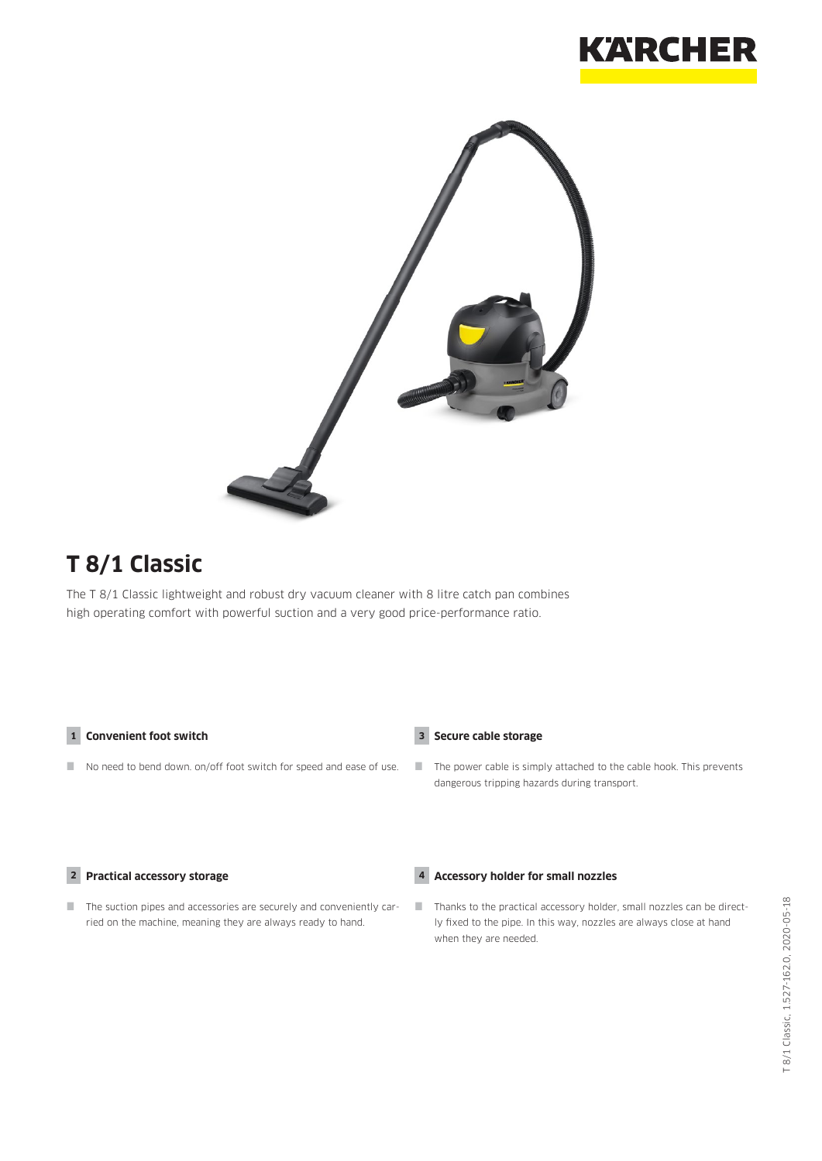



# **T 8/1 Classic**

The T 8/1 Classic lightweight and robust dry vacuum cleaner with 8 litre catch pan combines high operating comfort with powerful suction and a very good price-performance ratio.

### **1 Convenient foot switch**

No need to bend down. on/off foot switch for speed and ease of use.

### **3 Secure cable storage**

**4 Accessory holder for small nozzles**

 $\blacksquare$  The power cable is simply attached to the cable hook. This prevents dangerous tripping hazards during transport.

#### **2 Practical accessory storage**

The suction pipes and accessories are securely and conveniently carried on the machine, meaning they are always ready to hand.

 Thanks to the practical accessory holder, small nozzles can be directly fixed to the pipe. In this way, nozzles are always close at hand when they are needed.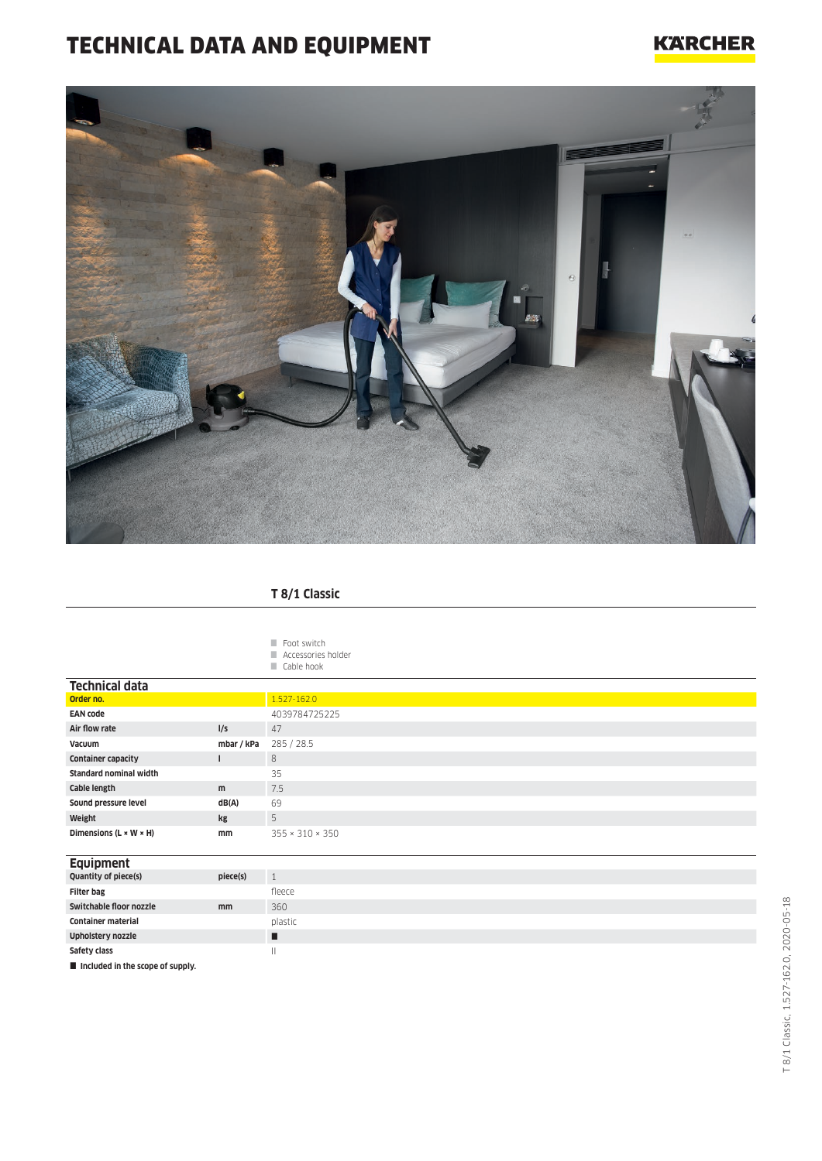# TECHNICAL DATA AND EQUIPMENT

## **KARCHER**



### **T 8/1 Classic**

| Foot switch        |
|--------------------|
| Accessories holder |
| Cable hook         |

| <b>Technical data</b>                |            |                             |
|--------------------------------------|------------|-----------------------------|
| Order no.                            |            | 1.527-162.0                 |
| <b>EAN code</b>                      |            | 4039784725225               |
| Air flow rate                        | I/S        | 47                          |
| Vacuum                               | mbar / kPa | 285 / 28.5                  |
| <b>Container capacity</b>            |            | 8                           |
| <b>Standard nominal width</b>        |            | 35                          |
| Cable length                         | m          | 7.5                         |
| Sound pressure level                 | dB(A)      | 69                          |
| Weight                               | kg         | 5                           |
| Dimensions ( $L \times W \times H$ ) | mm         | $355 \times 310 \times 350$ |

## **Equipment**

| Quantity of piece(s)                      | piece(s) |         |
|-------------------------------------------|----------|---------|
| <b>Filter bag</b>                         |          | fleece  |
| Switchable floor nozzle                   | mm       | 360     |
| <b>Container material</b>                 |          | plastic |
| <b>Upholstery nozzle</b>                  |          |         |
| Safety class                              |          | Ш       |
| <b>E.</b> Included in the conne of cunnly |          |         |

**d** in the scope of supply.